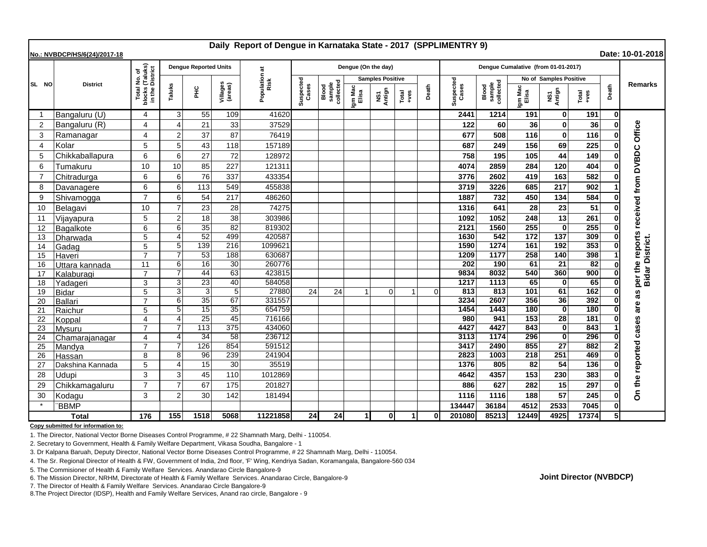| Daily Report of Dengue in Karnataka State - 2017 (SPPLIMENTRY 9)<br>Date: 10-01-2018<br>No.: NVBDCP/HS/6(24)/2017-18 |                  |                                                                     |                       |                              |                     |                       |                    |                              |                         |               |               |          |                                     |                              |                  |                             |               |              |                               |
|----------------------------------------------------------------------------------------------------------------------|------------------|---------------------------------------------------------------------|-----------------------|------------------------------|---------------------|-----------------------|--------------------|------------------------------|-------------------------|---------------|---------------|----------|-------------------------------------|------------------------------|------------------|-----------------------------|---------------|--------------|-------------------------------|
|                                                                                                                      | <b>District</b>  |                                                                     |                       | <b>Dengue Reported Units</b> |                     |                       |                    |                              | Dengue (On the day)     |               |               |          | Dengue Cumalative (from 01-01-2017) |                              |                  |                             |               |              |                               |
| SL NO                                                                                                                |                  | I No. of<br>(Taluks)<br>District<br>Total I<br>blocks (<br>in the D |                       |                              |                     | Population at<br>Risk |                    |                              | <b>Samples Positive</b> |               |               |          |                                     | No of Samples Positive       |                  |                             |               |              |                               |
|                                                                                                                      |                  |                                                                     | Taluks                | Ξ                            | Villages<br>(areas) |                       | Suspected<br>Cases | sample<br>collected<br>Blood | Igm Mac<br>Elisa        | NS1<br>Antign | Total<br>+ves | Death    | Suspected<br>Cases                  | sample<br>collected<br>Blood | Igm Mac<br>Elisa | NS1<br>Antign               | Total<br>+ves | Death        | <b>Remarks</b>                |
| -1                                                                                                                   | Bangaluru (U)    | 4                                                                   | 3                     | 55                           | 109                 | 41620                 |                    |                              |                         |               |               |          | 2441                                | 1214                         | 191              | $\bf{0}$                    | 191           | 0            |                               |
| 2                                                                                                                    | Bangaluru (R)    | 4                                                                   | $\boldsymbol{\Delta}$ | 21                           | 33                  | 37529                 |                    |                              |                         |               |               |          | 122                                 | 60                           | 36               | 0                           | 36            |              | Office                        |
| 3                                                                                                                    | Ramanagar        | $\overline{\mathcal{A}}$                                            | $\overline{2}$        | 37                           | 87                  | 76419                 |                    |                              |                         |               |               |          | 677                                 | 508                          | 116              | $\bf{0}$                    | 116           |              |                               |
| $\overline{4}$                                                                                                       | Kolar            | 5                                                                   | 5                     | 43                           | 118                 | 157189                |                    |                              |                         |               |               |          | 687                                 | 249                          | 156              | 69                          | 225           |              |                               |
| 5                                                                                                                    | Chikkaballapura  | 6                                                                   | 6                     | 27                           | 72                  | 128972                |                    |                              |                         |               |               |          | 758                                 | 195                          | 105              | 44                          | 149           |              | <b>DVBDC</b>                  |
| 6                                                                                                                    | Tumakuru         | 10                                                                  | 10                    | 85                           | 227                 | 121311                |                    |                              |                         |               |               |          | 4074                                | 2859                         | 284              | 120                         | 404           |              |                               |
| $\overline{7}$                                                                                                       | Chitradurga      | 6                                                                   | 6                     | 76                           | 337                 | 433354                |                    |                              |                         |               |               |          | 3776                                | 2602                         | 419              | 163                         | 582           |              |                               |
| 8                                                                                                                    | Davanagere       | 6                                                                   | 6                     | 113                          | 549                 | 455838                |                    |                              |                         |               |               |          | 3719                                | 3226                         | 685              | 217                         | 902           |              | per the reports received from |
| 9                                                                                                                    | Shivamogga       | $\overline{7}$                                                      | 6                     | 54                           | 217                 | 486260                |                    |                              |                         |               |               |          | 1887                                | 732                          | 450              | 134                         | 584           |              |                               |
| 10                                                                                                                   | Belagavi         | 10                                                                  | $\overline{7}$        | 23                           | 28                  | 74275                 |                    |                              |                         |               |               |          | 1316                                | 641                          | 28               | 23                          | 51            |              |                               |
| 11                                                                                                                   | Vijayapura       | 5                                                                   | $\overline{2}$        | 18                           | 38                  | 303986                |                    |                              |                         |               |               |          | 1092                                | 1052                         | 248              | 13                          | 261           |              |                               |
| 12                                                                                                                   | Bagalkote        | 6                                                                   | 6                     | 35                           | $\overline{82}$     | 819302                |                    |                              |                         |               |               |          | 2121                                | 1560                         | 255              | O                           | 255           |              |                               |
| 13                                                                                                                   | <b>Dharwada</b>  | 5                                                                   | $\boldsymbol{\Delta}$ | 52                           | 499                 | 420587                |                    |                              |                         |               |               |          | 1630                                | 542                          | 172              | $\overline{137}$            | 309           |              |                               |
| 14                                                                                                                   | Gadag            | 5                                                                   | 5                     | 139                          | 216                 | 1099621               |                    |                              |                         |               |               |          | 1590                                | 1274                         | 161              | 192                         | 353           |              |                               |
| 15                                                                                                                   | Haveri           | $\overline{7}$                                                      | 7                     | 53                           | 188                 | 630687                |                    |                              |                         |               |               |          | 1209                                | 1177                         | 258              | 140                         | 398           |              |                               |
| 16                                                                                                                   | Uttara kannada   | 11                                                                  | 6                     | 16                           | 30                  | 260776                |                    |                              |                         |               |               |          | 202                                 | 190                          | 61               | $\overline{21}$             | 82            |              | <b>Bidar District.</b>        |
| 17                                                                                                                   | Kalaburagi       | $\overline{7}$                                                      | $\overline{7}$        | $\overline{44}$              | 63                  | 423815                |                    |                              |                         |               |               |          | 9834                                | 8032                         | 540              | 360                         | 900           | $\mathbf{0}$ |                               |
| 18                                                                                                                   | Yadageri         | 3                                                                   | 3                     | 23                           | 40                  | 584058                |                    |                              |                         |               |               |          | 1217                                | 1113                         | 65               | $\bf{0}$                    | 65            |              |                               |
| 19                                                                                                                   | <b>Bidar</b>     | 5                                                                   | 3                     | 3                            | 5                   | 27880                 | 24                 | 24                           |                         | $\mathbf 0$   |               | $\Omega$ | 813                                 | 813                          | 101              | 61                          | 162           | 0            | 8g                            |
| 20                                                                                                                   | Ballari          | $\overline{7}$                                                      | 6                     | 35                           | 67                  | 331557                |                    |                              |                         |               |               |          | 3234                                | 2607                         | 356              | 36                          | 392           |              | are                           |
| 21                                                                                                                   | Raichur          | 5                                                                   | 5                     | 15                           | 35                  | 654759                |                    |                              |                         |               |               |          | 1454                                | 1443                         | 180              | $\bf{0}$                    | 180           |              |                               |
| 22                                                                                                                   | Koppal           | 4                                                                   | $\boldsymbol{\Delta}$ | $\overline{25}$<br>113       | 45<br>375           | 716166<br>434060      |                    |                              |                         |               |               |          | 980<br>4427                         | 941<br>4427                  | 153<br>843       | $\overline{28}$<br>$\Omega$ | 181<br>843    |              |                               |
| 23<br>24                                                                                                             | Mysuru           | $\overline{7}$<br>4                                                 | 4                     | 34                           | 58                  | 236712                |                    |                              |                         |               |               |          | 3113                                | 1174                         | 296              | 0                           | 296           |              | cases                         |
| 25                                                                                                                   | Chamarajanagar   |                                                                     |                       | 126                          | 854                 | 591512                |                    |                              |                         |               |               |          | 3417                                | 2490                         | 855              | 27                          | 882           |              |                               |
| 26                                                                                                                   | Mandya<br>Hassan | 8                                                                   | 8                     | 96                           | 239                 | 241904                |                    |                              |                         |               |               |          | 2823                                | 1003                         | 218              | 251                         | 469           |              |                               |
| 27                                                                                                                   | Dakshina Kannada | 5                                                                   | $\overline{4}$        | 15                           | 30                  | 35519                 |                    |                              |                         |               |               |          | 1376                                | 805                          | 82               | 54                          | 136           |              |                               |
| 28                                                                                                                   | Udupi            | 3                                                                   | 3                     | 45                           | 110                 | 1012869               |                    |                              |                         |               |               |          | 4642                                | 4357                         | 153              | 230                         | 383           |              |                               |
| 29                                                                                                                   | Chikkamagaluru   | $\overline{7}$                                                      | $\overline{7}$        | 67                           | 175                 | 201827                |                    |                              |                         |               |               |          | 886                                 | 627                          | 282              | 15                          | 297           |              |                               |
| 30                                                                                                                   | Kodagu           | 3                                                                   | $\overline{2}$        | 30                           | 142                 | 181494                |                    |                              |                         |               |               |          | 1116                                | 1116                         | 188              | 57                          | 245           |              | On the reported               |
|                                                                                                                      | <b>BBMP</b>      |                                                                     |                       |                              |                     |                       |                    |                              |                         |               |               |          | 134447                              | 36184                        | 4512             | 2533                        | 7045          |              |                               |
| <b>Total</b>                                                                                                         |                  | 176                                                                 | 155                   | 1518                         | 5068                | 11221858              | 24                 | 24                           | -11                     | 0l            | $\vert$ 1     | ΩI       | 201080                              | 85213                        | 12449            | 4925                        | 17374         | 5Ι           |                               |

**Copy submitted for information to:**

1. The Director, National Vector Borne Diseases Control Programme, # 22 Shamnath Marg, Delhi - 110054.

2. Secretary to Government, Health & Family Welfare Department, Vikasa Soudha, Bangalore - 1

3. Dr Kalpana Baruah, Deputy Director, National Vector Borne Diseases Control Programme, # 22 Shamnath Marg, Delhi - 110054.

4. The Sr. Regional Director of Health & FW, Government of India, 2nd floor, 'F' Wing, Kendriya Sadan, Koramangala, Bangalore-560 034

5. The Commisioner of Health & Family Welfare Services. Anandarao Circle Bangalore-9

6. The Mission Director, NRHM, Directorate of Health & Family Welfare Services. Anandarao Circle, Bangalore-9

7. The Director of Health & Family Welfare Services. Anandarao Circle Bangalore-9

8.The Project Director (IDSP), Health and Family Welfare Services, Anand rao circle, Bangalore - 9

**Joint Director (NVBDCP)**